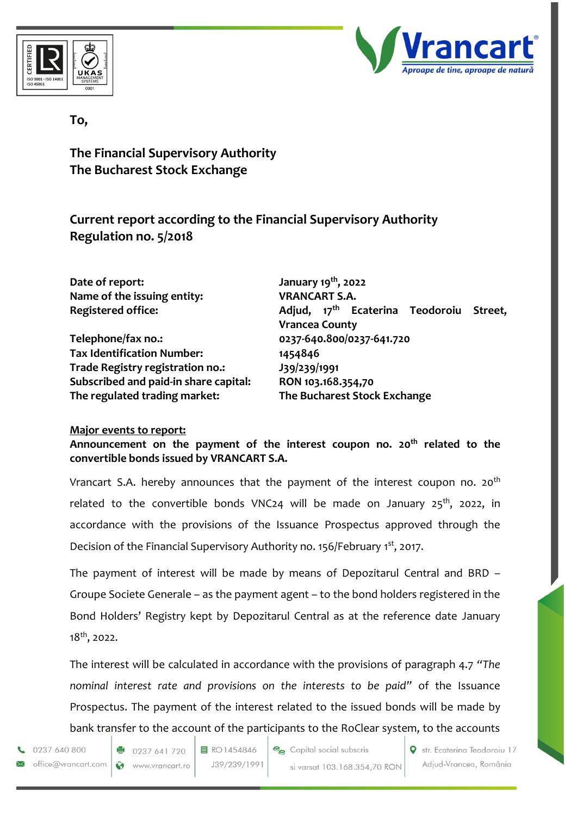



## **To,**

**The Financial Supervisory Authority The Bucharest Stock Exchange**

**Current report according to the Financial Supervisory Authority Regulation no. 5/2018**

**Date of report: January 19th, 2022 Name of the issuing entity: VRANCART S.A.** 

**Telephone/fax no.: 0237-640.800/0237-641.720 Tax Identification Number: 1454846 Trade Registry registration no.: J39/239/1991 Subscribed and paid-in share capital: RON 103.168.354,70 The regulated trading market: The Bucharest Stock Exchange**

**Registered office: Adjud, 17th Ecaterina Teodoroiu Street, Vrancea County**

## **Major events to report:**

**Announcement on the payment of the interest coupon no. 20th related to the convertible bonds issued by VRANCART S.A.**

Vrancart S.A. hereby announces that the payment of the interest coupon no.  $20<sup>th</sup>$ related to the convertible bonds VNC24 will be made on January 25<sup>th</sup>, 2022, in accordance with the provisions of the Issuance Prospectus approved through the Decision of the Financial Supervisory Authority no. 156/February 1st, 2017.

The payment of interest will be made by means of Depozitarul Central and BRD – Groupe Societe Generale – as the payment agent – to the bond holders registered in the Bond Holders' Registry kept by Depozitarul Central as at the reference date January 18th, 2022.

The interest will be calculated in accordance with the provisions of paragraph 4.7 *"The nominal interest rate and provisions on the interests to be paid"* of the Issuance Prospectus. The payment of the interest related to the issued bonds will be made by bank transfer to the account of the participants to the RoClear system, to the accounts

0237 640 800 office@vrancart.com 目 RO1454846 J39/239/1991 Capital social subscris si varsat 103.168.354,70 RON Str. Ecaterina Teodoroiu 17 Adjud-Vrancea, România